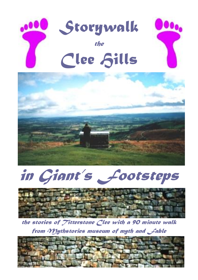*Storywalk the* **Clee Sills** 







*the stories of Titterstone Clee with a 90 minute walk from Mythstories museum of myth and Fable*

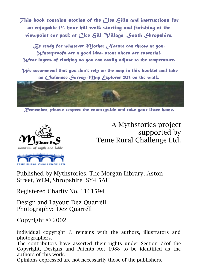*This book contains stories of the Clee Hills and instructions for an enjoyable 1½ hour hill walk starting and finishing at the viewpoint car park at Clee Hill Village, South Shropshire.*

*Be ready for whatever Mother Nature can throw at you. Waterproofs are a good idea, stout shoes are essential. Wear layers of clothing so you can easily adjust to the temperature.*

 *We recommend that you don't rely on the map in this booklet and take an Ordnance Survey Map Explorer 203 on the walk.*



*Remember, please respect the countryside and take your litter home.*



A Mythstories project supported by Teme Rural Challenge Ltd.

Published by Mythstories, The Morgan Library, Aston Street, WEM, Shropshire SY4 5AU

Registered Charity No. 1161594

Design and Layout: Dez Quarréll Photography: Dez Quarréll

Copyright © 2002

Individual copyright © remains with the authors, illustrators and photographers.

The contributors have asserted their rights under Section 77of the Copyright, Designs and Patents Act 1988 to be identified as the authors of this work.

Opinions expressed are not necessarily those of the publishers.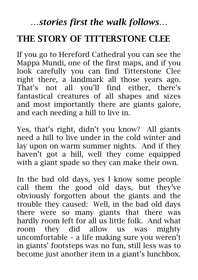## *…stories first the walk follows…*

# **THE STORY OF TITTERSTONE CLEE**

If you go to Hereford Cathedral you can see the Mappa Mundi, one of the first maps, and if you look carefully you can find Titterstone Clee right there, a landmark all those years ago. That's not all you'll find either, there's fantastical creatures of all shapes and sizes and most importantly there are giants galore, and each needing a hill to live in.

Yes, that's right, didn't you know? All giants need a hill to live under in the cold winter and lay upon on warm summer nights. And if they haven't got a hill, well they come equipped with a giant spade so they can make their own.

In the bad old days, yes I know some people call them the good old days, but they've obviously forgotten about the giants and the trouble they caused: Well, in the bad old days there were so many giants that there was hardly room left for all us little folk. And what room they did allow us was mighty uncomfortable – a life making sure you weren't in giants' footsteps was no fun, still less was to become just another item in a giant's lunchbox.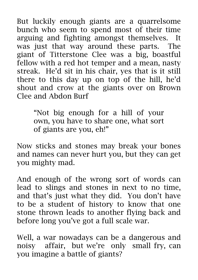But luckily enough giants are a quarrelsome bunch who seem to spend most of their time arguing and fighting amongst themselves. It was just that way around these parts. The giant of Titterstone Clee was a big, boastful fellow with a red hot temper and a mean, nasty streak. He'd sit in his chair, yes that is it still there to this day up on top of the hill, he'd shout and crow at the giants over on Brown Clee and Abdon Burf

> "Not big enough for a hill of your own, you have to share one, what sort of giants are you, eh!"

Now sticks and stones may break your bones and names can never hurt you, but they can get you mighty mad.

And enough of the wrong sort of words can lead to slings and stones in next to no time, and that's just what they did. You don't have to be a student of history to know that one stone thrown leads to another flying back and before long you've got a full scale war.

Well, a war nowadays can be a dangerous and noisy affair, but we're only small fry, can you imagine a battle of giants?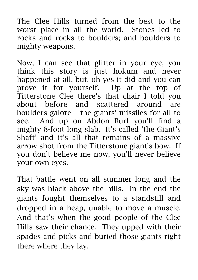The Clee Hills turned from the best to the worst place in all the world. Stones led to rocks and rocks to boulders; and boulders to mighty weapons.

Now, I can see that glitter in your eye, you think this story is just hokum and never happened at all, but, oh yes it did and you can prove it for yourself. Up at the top of Titterstone Clee there's that chair I told you about before and scattered around are boulders galore – the giants' missiles for all to see. And up on Abdon Burf you'll find a mighty 8-foot long slab. It's called 'the Giant's Shaft' and it's all that remains of a massive arrow shot from the Titterstone giant's bow. If you don't believe me now, you'll never believe your own eyes.

That battle went on all summer long and the sky was black above the hills. In the end the giants fought themselves to a standstill and dropped in a heap, unable to move a muscle. And that's when the good people of the Clee Hills saw their chance. They upped with their spades and picks and buried those giants right there where they lay.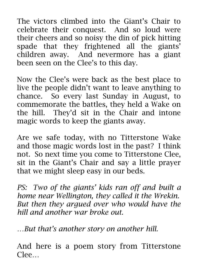The victors climbed into the Giant's Chair to celebrate their conquest. And so loud were their cheers and so noisy the din of pick hitting spade that they frightened all the giants' children away. And nevermore has a giant been seen on the Clee's to this day.

Now the Clee's were back as the best place to live the people didn't want to leave anything to chance. So every last Sunday in August, to commemorate the battles, they held a Wake on the hill. They'd sit in the Chair and intone magic words to keep the giants away.

Are we safe today, with no Titterstone Wake and those magic words lost in the past? I think not. So next time you come to Titterstone Clee, sit in the Giant's Chair and say a little prayer that we might sleep easy in our beds.

*PS: Two of the giants' kids ran off and built a home near Wellington, they called it the Wrekin. But then they argued over who would have the hill and another war broke out.*

*…But that's another story on another hill.*

And here is a poem story from Titterstone Clee…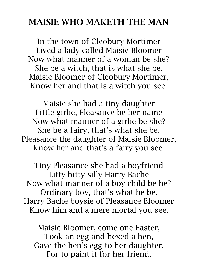#### **MAISIE WHO MAKETH THE MAN**

In the town of Cleobury Mortimer Lived a lady called Maisie Bloomer Now what manner of a woman be she? She be a witch, that is what she be. Maisie Bloomer of Cleobury Mortimer, Know her and that is a witch you see.

Maisie she had a tiny daughter Little girlie, Pleasance be her name Now what manner of a girlie be she? She be a fairy, that's what she be. Pleasance the daughter of Maisie Bloomer, Know her and that's a fairy you see.

Tiny Pleasance she had a boyfriend Litty-bitty-silly Harry Bache Now what manner of a boy child be he? Ordinary boy, that's what he be. Harry Bache boysie of Pleasance Bloomer Know him and a mere mortal you see.

Maisie Bloomer, come one Easter, Took an egg and hexed a hen, Gave the hen's egg to her daughter, For to paint it for her friend.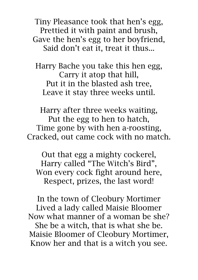Tiny Pleasance took that hen's egg, Prettied it with paint and brush, Gave the hen's egg to her boyfriend, Said don't eat it, treat it thus...

Harry Bache you take this hen egg, Carry it atop that hill, Put it in the blasted ash tree, Leave it stay three weeks until.

Harry after three weeks waiting, Put the egg to hen to hatch, Time gone by with hen a-roosting, Cracked, out came cock with no match.

Out that egg a mighty cockerel, Harry called "The Witch's Bird", Won every cock fight around here, Respect, prizes, the last word!

In the town of Cleobury Mortimer Lived a lady called Maisie Bloomer Now what manner of a woman be she? She be a witch, that is what she be. Maisie Bloomer of Cleobury Mortimer, Know her and that is a witch you see.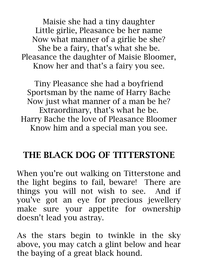Maisie she had a tiny daughter Little girlie, Pleasance be her name Now what manner of a girlie be she? She be a fairy, that's what she be. Pleasance the daughter of Maisie Bloomer, Know her and that's a fairy you see.

Tiny Pleasance she had a boyfriend Sportsman by the name of Harry Bache Now just what manner of a man be he? Extraordinary, that's what he be. Harry Bache the love of Pleasance Bloomer Know him and a special man you see.

### **THE BLACK DOG OF TITTERSTONE**

When you're out walking on Titterstone and the light begins to fail, beware! There are things you will not wish to see. And if you've got an eye for precious jewellery make sure your appetite for ownership doesn't lead you astray.

As the stars begin to twinkle in the sky above, you may catch a glint below and hear the baying of a great black hound.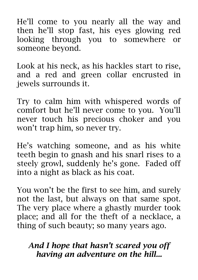He'll come to you nearly all the way and then he'll stop fast, his eyes glowing red looking through you to somewhere or someone beyond.

Look at his neck, as his hackles start to rise, and a red and green collar encrusted in jewels surrounds it.

Try to calm him with whispered words of comfort but he'll never come to you. You'll never touch his precious choker and you won't trap him, so never try.

He's watching someone, and as his white teeth begin to gnash and his snarl rises to a steely growl, suddenly he's gone. Faded off into a night as black as his coat.

You won't be the first to see him, and surely not the last, but always on that same spot. The very place where a ghastly murder took place; and all for the theft of a necklace, a thing of such beauty; so many years ago.

#### *And I hope that hasn't scared you off having an adventure on the hill...*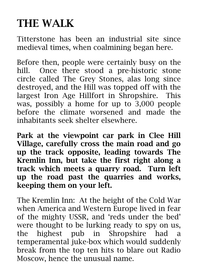# **THE WALK**

Titterstone has been an industrial site since medieval times, when coalmining began here.

Before then, people were certainly busy on the hill. Once there stood a pre-historic stone circle called The Grey Stones, alas long since destroyed, and the Hill was topped off with the largest Iron Age Hillfort in Shropshire. This was, possibly a home for up to 3,000 people before the climate worsened and made the inhabitants seek shelter elsewhere.

**Park at the viewpoint car park in Clee Hill Village, carefully cross the main road and go up the track opposite, leading towards The Kremlin Inn, but take the first right along a track which meets a quarry road. Turn left up the road past the quarries and works, keeping them on your left.**

The Kremlin Inn: At the height of the Cold War when America and Western Europe lived in fear of the mighty USSR, and 'reds under the bed' were thought to be lurking ready to spy on us, the highest pub in Shropshire had a temperamental juke-box which would suddenly break from the top ten hits to blare out Radio Moscow, hence the unusual name.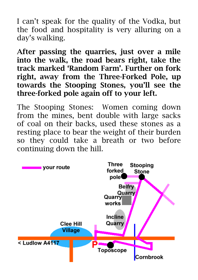I can't speak for the quality of the Vodka, but the food and hospitality is very alluring on a day's walking.

**After passing the quarries, just over a mile into the walk, the road bears right, take the track marked 'Random Farm'. Further on fork right, away from the Three-Forked Pole, up towards the Stooping Stones, you'll see the three-forked pole again off to your left.**

The Stooping Stones: Women coming down from the mines, bent double with large sacks of coal on their backs, used these stones as a resting place to bear the weight of their burden so they could take a breath or two before continuing down the hill.

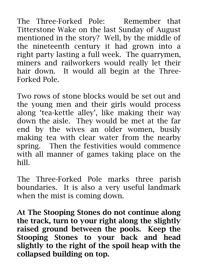The Three-Forked Pole: Remember that Titterstone Wake on the last Sunday of August mentioned in the story? Well, by the middle of the nineteenth century it had grown into a right party lasting a full week. The quarrymen, miners and railworkers would really let their hair down. It would all begin at the Three-Forked Pole.

Two rows of stone blocks would be set out and the young men and their girls would process along 'tea-kettle alley', like making their way down the aisle. They would be met at the far end by the wives an older women, busily making tea with clear water from the nearby spring. Then the festivities would commence with all manner of games taking place on the hill.

The Three-Forked Pole marks three parish boundaries. It is also a very useful landmark when the mist is coming down.

**At The Stooping Stones do not continue along the track, turn to your right along the slightly raised ground between the pools. Keep the Stooping Stones to your back and head slightly to the right of the spoil heap with the collapsed building on top.**